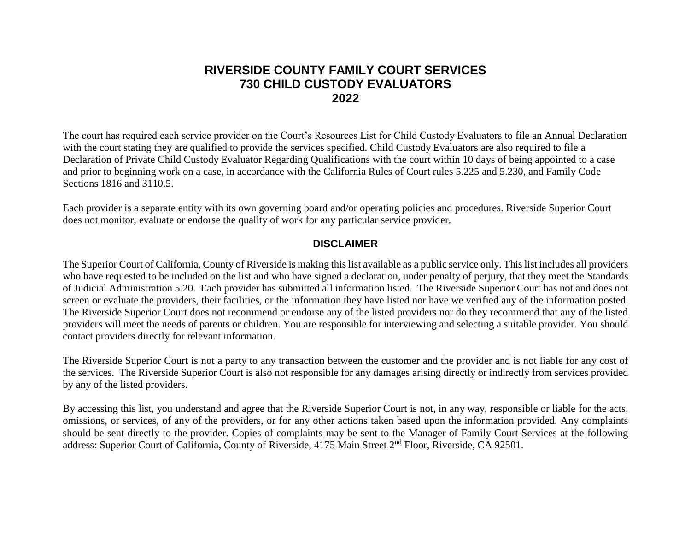## **RIVERSIDE COUNTY FAMILY COURT SERVICES 730 CHILD CUSTODY EVALUATORS 2022**

The court has required each service provider on the Court's Resources List for Child Custody Evaluators to file an Annual Declaration with the court stating they are qualified to provide the services specified. Child Custody Evaluators are also required to file a Declaration of Private Child Custody Evaluator Regarding Qualifications with the court within 10 days of being appointed to a case and prior to beginning work on a case, in accordance with the California Rules of Court rules 5.225 and 5.230, and Family Code Sections 1816 and 3110.5.

Each provider is a separate entity with its own governing board and/or operating policies and procedures. Riverside Superior Court does not monitor, evaluate or endorse the quality of work for any particular service provider.

## **DISCLAIMER**

The Superior Court of California, County of Riverside is making this list available as a public service only. This list includes all providers who have requested to be included on the list and who have signed a declaration, under penalty of perjury, that they meet the Standards of Judicial Administration 5.20. Each provider has submitted all information listed. The Riverside Superior Court has not and does not screen or evaluate the providers, their facilities, or the information they have listed nor have we verified any of the information posted. The Riverside Superior Court does not recommend or endorse any of the listed providers nor do they recommend that any of the listed providers will meet the needs of parents or children. You are responsible for interviewing and selecting a suitable provider. You should contact providers directly for relevant information.

The Riverside Superior Court is not a party to any transaction between the customer and the provider and is not liable for any cost of the services. The Riverside Superior Court is also not responsible for any damages arising directly or indirectly from services provided by any of the listed providers.

By accessing this list, you understand and agree that the Riverside Superior Court is not, in any way, responsible or liable for the acts, omissions, or services, of any of the providers, or for any other actions taken based upon the information provided. Any complaints should be sent directly to the provider. Copies of complaints may be sent to the Manager of Family Court Services at the following address: Superior Court of California, County of Riverside, 4175 Main Street 2nd Floor, Riverside, CA 92501.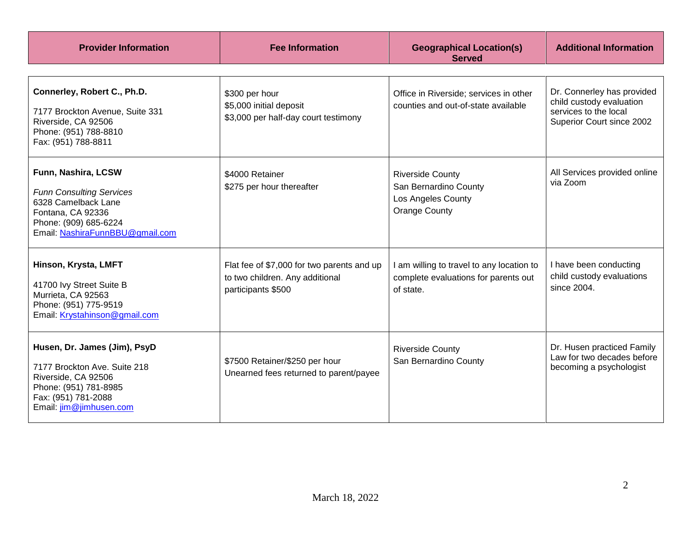| <b>Provider Information</b>                                                                                                                                    | <b>Fee Information</b>                                                                              | <b>Geographical Location(s)</b><br><b>Served</b>                                               | <b>Additional Information</b>                                                                                |
|----------------------------------------------------------------------------------------------------------------------------------------------------------------|-----------------------------------------------------------------------------------------------------|------------------------------------------------------------------------------------------------|--------------------------------------------------------------------------------------------------------------|
| Connerley, Robert C., Ph.D.<br>7177 Brockton Avenue, Suite 331<br>Riverside, CA 92506<br>Phone: (951) 788-8810<br>Fax: (951) 788-8811                          | \$300 per hour<br>\$5,000 initial deposit<br>\$3,000 per half-day court testimony                   | Office in Riverside; services in other<br>counties and out-of-state available                  | Dr. Connerley has provided<br>child custody evaluation<br>services to the local<br>Superior Court since 2002 |
| Funn, Nashira, LCSW<br><b>Funn Consulting Services</b><br>6328 Camelback Lane<br>Fontana, CA 92336<br>Phone: (909) 685-6224<br>Email: NashiraFunnBBU@gmail.com | \$4000 Retainer<br>\$275 per hour thereafter                                                        | <b>Riverside County</b><br>San Bernardino County<br>Los Angeles County<br><b>Orange County</b> | All Services provided online<br>via Zoom                                                                     |
| Hinson, Krysta, LMFT<br>41700 Ivy Street Suite B<br>Murrieta, CA 92563<br>Phone: (951) 775-9519<br>Email: Krystahinson@gmail.com                               | Flat fee of \$7,000 for two parents and up<br>to two children. Any additional<br>participants \$500 | I am willing to travel to any location to<br>complete evaluations for parents out<br>of state. | I have been conducting<br>child custody evaluations<br>since 2004.                                           |
| Husen, Dr. James (Jim), PsyD<br>7177 Brockton Ave. Suite 218<br>Riverside, CA 92506<br>Phone: (951) 781-8985<br>Fax: (951) 781-2088<br>Email: jim@jimhusen.com | \$7500 Retainer/\$250 per hour<br>Unearned fees returned to parent/payee                            | <b>Riverside County</b><br>San Bernardino County                                               | Dr. Husen practiced Family<br>Law for two decades before<br>becoming a psychologist                          |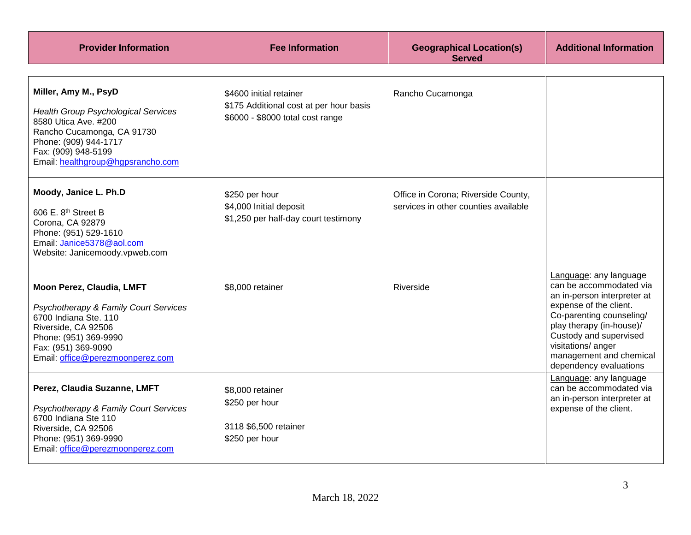| <b>Provider Information</b>                                                                                                                                                                                   | <b>Fee Information</b>                                                                                 | <b>Geographical Location(s)</b><br><b>Served</b>                            | <b>Additional Information</b>                                                                                                                                                                                                                                           |
|---------------------------------------------------------------------------------------------------------------------------------------------------------------------------------------------------------------|--------------------------------------------------------------------------------------------------------|-----------------------------------------------------------------------------|-------------------------------------------------------------------------------------------------------------------------------------------------------------------------------------------------------------------------------------------------------------------------|
| Miller, Amy M., PsyD<br><b>Health Group Psychological Services</b><br>8580 Utica Ave. #200<br>Rancho Cucamonga, CA 91730<br>Phone: (909) 944-1717<br>Fax: (909) 948-5199<br>Email: healthgroup@hgpsrancho.com | \$4600 initial retainer<br>\$175 Additional cost at per hour basis<br>\$6000 - \$8000 total cost range | Rancho Cucamonga                                                            |                                                                                                                                                                                                                                                                         |
| Moody, Janice L. Ph.D<br>606 E. 8 <sup>th</sup> Street B<br>Corona, CA 92879<br>Phone: (951) 529-1610<br>Email: Janice5378@aol.com<br>Website: Janicemoody.vpweb.com                                          | \$250 per hour<br>\$4,000 Initial deposit<br>\$1,250 per half-day court testimony                      | Office in Corona; Riverside County,<br>services in other counties available |                                                                                                                                                                                                                                                                         |
| Moon Perez, Claudia, LMFT<br>Psychotherapy & Family Court Services<br>6700 Indiana Ste. 110<br>Riverside, CA 92506<br>Phone: (951) 369-9990<br>Fax: (951) 369-9090<br>Email: office@perezmoonperez.com        | \$8,000 retainer                                                                                       | Riverside                                                                   | Language: any language<br>can be accommodated via<br>an in-person interpreter at<br>expense of the client.<br>Co-parenting counseling/<br>play therapy (in-house)/<br>Custody and supervised<br>visitations/ anger<br>management and chemical<br>dependency evaluations |
| Perez, Claudia Suzanne, LMFT<br>Psychotherapy & Family Court Services<br>6700 Indiana Ste 110<br>Riverside, CA 92506<br>Phone: (951) 369-9990<br>Email: office@perezmoonperez.com                             | \$8,000 retainer<br>\$250 per hour<br>3118 \$6,500 retainer<br>\$250 per hour                          |                                                                             | Language: any language<br>can be accommodated via<br>an in-person interpreter at<br>expense of the client.                                                                                                                                                              |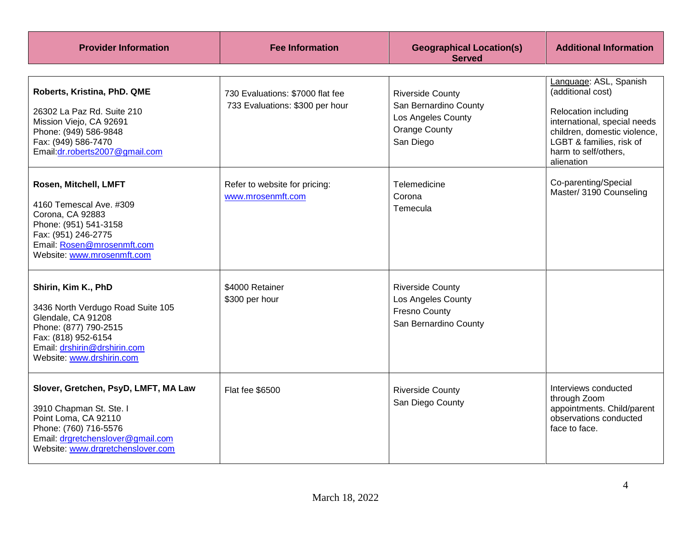| <b>Provider Information</b>                                                                                                                                                                 | <b>Fee Information</b>                                              | <b>Geographical Location(s)</b><br><b>Served</b>                                                            | <b>Additional Information</b>                                                                                                                                                                                |
|---------------------------------------------------------------------------------------------------------------------------------------------------------------------------------------------|---------------------------------------------------------------------|-------------------------------------------------------------------------------------------------------------|--------------------------------------------------------------------------------------------------------------------------------------------------------------------------------------------------------------|
| Roberts, Kristina, PhD. QME<br>26302 La Paz Rd. Suite 210<br>Mission Viejo, CA 92691<br>Phone: (949) 586-9848<br>Fax: (949) 586-7470<br>Email:dr.roberts2007@gmail.com                      | 730 Evaluations: \$7000 flat fee<br>733 Evaluations: \$300 per hour | <b>Riverside County</b><br>San Bernardino County<br>Los Angeles County<br><b>Orange County</b><br>San Diego | Language: ASL, Spanish<br>(additional cost)<br><b>Relocation including</b><br>international, special needs<br>children, domestic violence,<br>LGBT & families, risk of<br>harm to self/others,<br>alienation |
| Rosen, Mitchell, LMFT<br>4160 Temescal Ave. #309<br>Corona, CA 92883<br>Phone: (951) 541-3158<br>Fax: (951) 246-2775<br>Email: Rosen@mrosenmft.com<br>Website: www.mrosenmft.com            | Refer to website for pricing:<br>www.mrosenmft.com                  | Telemedicine<br>Corona<br>Temecula                                                                          | Co-parenting/Special<br>Master/ 3190 Counseling                                                                                                                                                              |
| Shirin, Kim K., PhD<br>3436 North Verdugo Road Suite 105<br>Glendale, CA 91208<br>Phone: (877) 790-2515<br>Fax: (818) 952-6154<br>Email: drshirin@drshirin.com<br>Website: www.drshirin.com | \$4000 Retainer<br>\$300 per hour                                   | <b>Riverside County</b><br>Los Angeles County<br><b>Fresno County</b><br>San Bernardino County              |                                                                                                                                                                                                              |
| Slover, Gretchen, PsyD, LMFT, MA Law<br>3910 Chapman St. Ste. I<br>Point Loma, CA 92110<br>Phone: (760) 716-5576<br>Email: drgretchenslover@gmail.com<br>Website: www.drgretchenslover.com  | Flat fee \$6500                                                     | <b>Riverside County</b><br>San Diego County                                                                 | Interviews conducted<br>through Zoom<br>appointments. Child/parent<br>observations conducted<br>face to face.                                                                                                |